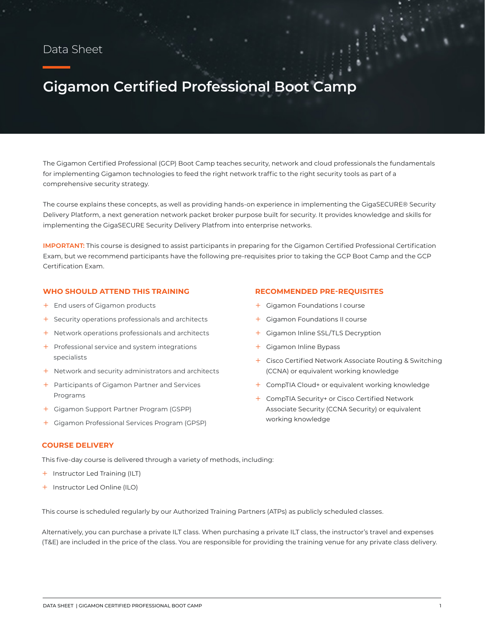### Data Sheet

# **Gigamon Certified Professional Boot Camp**

The Gigamon Certified Professional (GCP) Boot Camp teaches security, network and cloud professionals the fundamentals for implementing Gigamon technologies to feed the right network traffic to the right security tools as part of a comprehensive security strategy.

The course explains these concepts, as well as providing hands-on experience in implementing the GigaSECURE® Security Delivery Platform, a next generation network packet broker purpose built for security. It provides knowledge and skills for implementing the GigaSECURE Security Delivery Platfrom into enterprise networks.

**IMPORTANT:** This course is designed to assist participants in preparing for the Gigamon Certified Professional Certification Exam, but we recommend participants have the following pre-requisites prior to taking the GCP Boot Camp and the GCP Certification Exam.

#### **WHO SHOULD ATTEND THIS TRAINING**

- + End users of Gigamon products
- + Security operations professionals and architects
- + Network operations professionals and architects
- + Professional service and system integrations specialists
- $+$  Network and security administrators and architects
- + Participants of Gigamon Partner and Services Programs
- + Gigamon Support Partner Program (GSPP)
- + Gigamon Professional Services Program (GPSP)

## **COURSE DELIVERY**

This five-day course is delivered through a variety of methods, including:

- + Instructor Led Training (ILT)
- + Instructor Led Online (ILO)

This course is scheduled regularly by our Authorized Training Partners (ATPs) as publicly scheduled classes.

Alternatively, you can purchase a private ILT class. When purchasing a private ILT class, the instructor's travel and expenses (T&E) are included in the price of the class. You are responsible for providing the training venue for any private class delivery.

#### **RECOMMENDED PRE-REQUISITES**

- + Gigamon Foundations I course
- + Gigamon Foundations II course
- + Gigamon Inline SSL/TLS Decryption
- + Gigamon Inline Bypass
- + Cisco Certified Network Associate Routing & Switching (CCNA) or equivalent working knowledge
- + CompTIA Cloud+ or equivalent working knowledge
- + CompTIA Security+ or Cisco Certified Network Associate Security (CCNA Security) or equivalent working knowledge